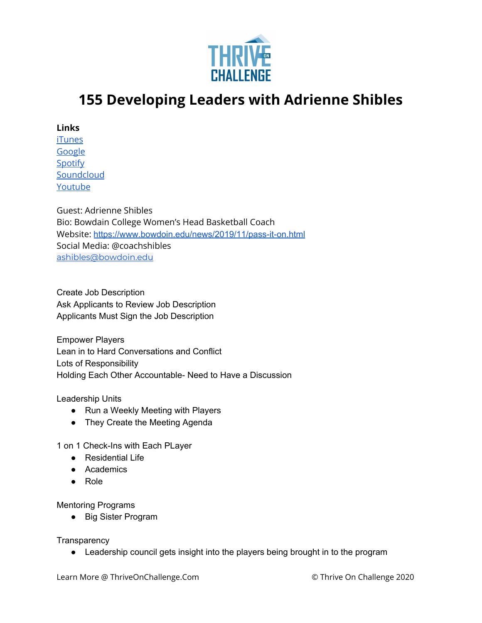

## **155 Developing Leaders with Adrienne Shibles**

**Links**

[iTunes](https://podcasts.apple.com/us/podcast/coaching-culture/id1286560192) **[Google](https://podcasts.google.com/feed/aHR0cHM6Ly9mZWVkcy5zb3VuZGNsb3VkLmNvbS91c2Vycy9zb3VuZGNsb3VkOnVzZXJzOjQxMDQyNzcvc291bmRzLnJzcw?ved=2ahUKEwiSpYquy9vqAhVbQUEAHSAkC88Q4aUDegQIARAC)** [Spotify](https://open.spotify.com/show/336Hs8udk8s0yXuK3BzSOq) **[Soundcloud](https://soundcloud.com/thriveonchallenge)** [Youtube](https://www.youtube.com/channel/UC3vIljCBzwHcPyVIx9kiHvw)

Guest: Adrienne Shibles Bio: Bowdain College Women's Head Basketball Coach Website: <https://www.bowdoin.edu/news/2019/11/pass-it-on.html> Social Media: @coachshibles [ashibles@bowdoin.edu](mailto:ashibles@bowdoin.edu)

Create Job Description Ask Applicants to Review Job Description Applicants Must Sign the Job Description

Empower Players Lean in to Hard Conversations and Conflict Lots of Responsibility Holding Each Other Accountable- Need to Have a Discussion

Leadership Units

- Run a Weekly Meeting with Players
- They Create the Meeting Agenda

1 on 1 Check-Ins with Each PLayer

- Residential Life
- Academics
- Role

Mentoring Programs

● Big Sister Program

**Transparency** 

● Leadership council gets insight into the players being brought in to the program

Learn More @ ThriveOnChallenge.Com © Thrive On Challenge 2020